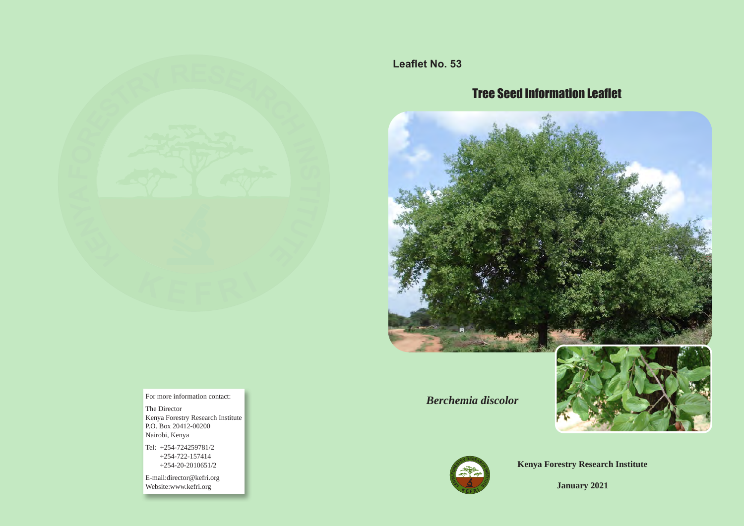

**Leaflet No. 53**

# Tree Seed Information Leaflet



*Berchemia discolor*





**Kenya Forestry Research Institute**

**January 2021**

For more information contact:

The Director Kenya Forestry Research Institute P.O. Box 20412-00200 Nairobi, Kenya

Tel: +254-724259781/2 +254-722-157414 +254-20-2010651/2

E-mail:director@kefri.org Website:www.kefri.org